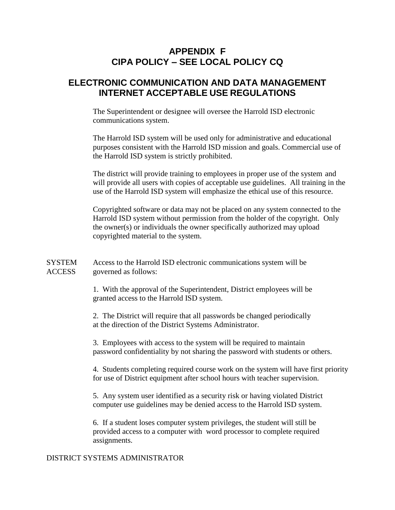# **APPENDIX F CIPA POLICY – SEE LOCAL POLICY CQ**

# **ELECTRONIC COMMUNICATION AND DATA MANAGEMENT INTERNET ACCEPTABLE USE REGULATIONS**

The Superintendent or designee will oversee the Harrold ISD electronic communications system.

The Harrold ISD system will be used only for administrative and educational purposes consistent with the Harrold ISD mission and goals. Commercial use of the Harrold ISD system is strictly prohibited.

The district will provide training to employees in proper use of the system and will provide all users with copies of acceptable use guidelines. All training in the use of the Harrold ISD system will emphasize the ethical use of this resource.

Copyrighted software or data may not be placed on any system connected to the Harrold ISD system without permission from the holder of the copyright. Only the owner(s) or individuals the owner specifically authorized may upload copyrighted material to the system.

SYSTEM Access to the Harrold ISD electronic communications system will be ACCESS governed as follows:

> 1. With the approval of the Superintendent, District employees will be granted access to the Harrold ISD system.

> 2. The District will require that all passwords be changed periodically at the direction of the District Systems Administrator.

3. Employees with access to the system will be required to maintain password confidentiality by not sharing the password with students or others.

4. Students completing required course work on the system will have first priority for use of District equipment after school hours with teacher supervision.

5. Any system user identified as a security risk or having violated District computer use guidelines may be denied access to the Harrold ISD system.

6. If a student loses computer system privileges, the student will still be provided access to a computer with word processor to complete required assignments.

#### DISTRICT SYSTEMS ADMINISTRATOR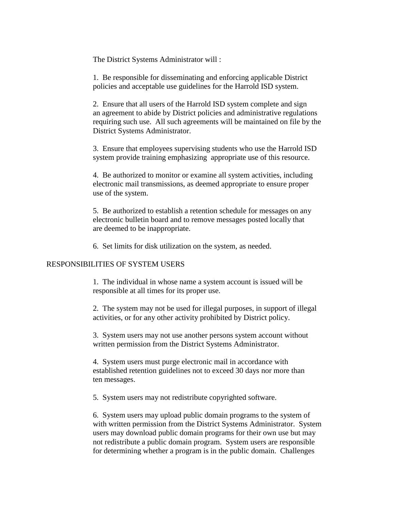The District Systems Administrator will :

1. Be responsible for disseminating and enforcing applicable District policies and acceptable use guidelines for the Harrold ISD system.

2. Ensure that all users of the Harrold ISD system complete and sign an agreement to abide by District policies and administrative regulations requiring such use. All such agreements will be maintained on file by the District Systems Administrator.

3. Ensure that employees supervising students who use the Harrold ISD system provide training emphasizing appropriate use of this resource.

4. Be authorized to monitor or examine all system activities, including electronic mail transmissions, as deemed appropriate to ensure proper use of the system.

5. Be authorized to establish a retention schedule for messages on any electronic bulletin board and to remove messages posted locally that are deemed to be inappropriate.

6. Set limits for disk utilization on the system, as needed.

### RESPONSIBILITIES OF SYSTEM USERS

1. The individual in whose name a system account is issued will be responsible at all times for its proper use.

2. The system may not be used for illegal purposes, in support of illegal activities, or for any other activity prohibited by District policy.

3. System users may not use another persons system account without written permission from the District Systems Administrator.

4. System users must purge electronic mail in accordance with established retention guidelines not to exceed 30 days nor more than ten messages.

5. System users may not redistribute copyrighted software.

6. System users may upload public domain programs to the system of with written permission from the District Systems Administrator. System users may download public domain programs for their own use but may not redistribute a public domain program. System users are responsible for determining whether a program is in the public domain. Challenges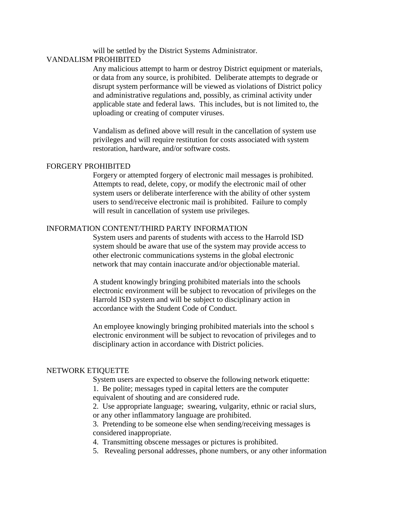will be settled by the District Systems Administrator.

## VANDALISM PROHIBITED

Any malicious attempt to harm or destroy District equipment or materials, or data from any source, is prohibited. Deliberate attempts to degrade or disrupt system performance will be viewed as violations of District policy and administrative regulations and, possibly, as criminal activity under applicable state and federal laws. This includes, but is not limited to, the uploading or creating of computer viruses.

Vandalism as defined above will result in the cancellation of system use privileges and will require restitution for costs associated with system restoration, hardware, and/or software costs.

## FORGERY PROHIBITED

Forgery or attempted forgery of electronic mail messages is prohibited. Attempts to read, delete, copy, or modify the electronic mail of other system users or deliberate interference with the ability of other system users to send/receive electronic mail is prohibited. Failure to comply will result in cancellation of system use privileges.

## INFORMATION CONTENT/THIRD PARTY INFORMATION

System users and parents of students with access to the Harrold ISD system should be aware that use of the system may provide access to other electronic communications systems in the global electronic network that may contain inaccurate and/or objectionable material.

A student knowingly bringing prohibited materials into the schools electronic environment will be subject to revocation of privileges on the Harrold ISD system and will be subject to disciplinary action in accordance with the Student Code of Conduct.

An employee knowingly bringing prohibited materials into the school s electronic environment will be subject to revocation of privileges and to disciplinary action in accordance with District policies.

#### NETWORK ETIQUETTE

System users are expected to observe the following network etiquette:

1. Be polite; messages typed in capital letters are the computer equivalent of shouting and are considered rude.

2. Use appropriate language; swearing, vulgarity, ethnic or racial slurs, or any other inflammatory language are prohibited.

3. Pretending to be someone else when sending/receiving messages is considered inappropriate.

4. Transmitting obscene messages or pictures is prohibited.

5. Revealing personal addresses, phone numbers, or any other information